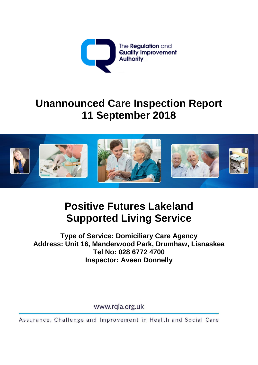

# **Unannounced Care Inspection Report 11 September 2018**



**Positive Futures Lakeland Supported Living Service**

**Type of Service: Domiciliary Care Agency Address: Unit 16, Manderwood Park, Drumhaw, Lisnaskea Tel No: 028 6772 4700 Inspector: Aveen Donnelly**

www.rqia.org.uk

Assurance, Challenge and Improvement in Health and Social Care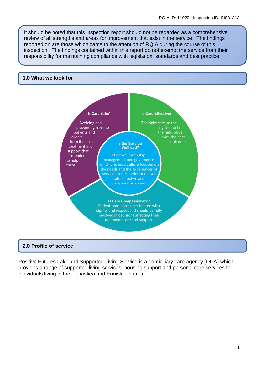It should be noted that this inspection report should not be regarded as a comprehensive review of all strengths and areas for improvement that exist in the service. The findings reported on are those which came to the attention of RQIA during the course of this inspection. The findings contained within this report do not exempt the service from their responsibility for maintaining compliance with legislation, standards and best practice.

#### **1.0 What we look for**



## **2.0 Profile of service**

Positive Futures Lakeland Supported Living Service is a domiciliary care agency (DCA) which provides a range of supported living services, housing support and personal care services to individuals living in the Lisnaskea and Enniskillen area.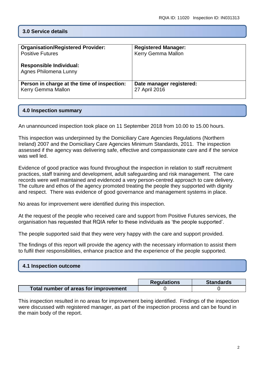# **3.0 Service details**

| <b>Organisation/Registered Provider:</b>                | <b>Registered Manager:</b> |
|---------------------------------------------------------|----------------------------|
| <b>Positive Futures</b>                                 | Kerry Gemma Mallon         |
| <b>Responsible Individual:</b><br>Agnes Philomena Lunny |                            |
| Person in charge at the time of inspection:             | Date manager registered:   |
| Kerry Gemma Mallon                                      | 27 April 2016              |

## **4.0 Inspection summary**

An unannounced inspection took place on 11 September 2018 from 10.00 to 15.00 hours.

This inspection was underpinned by the Domiciliary Care Agencies Regulations (Northern Ireland) 2007 and the Domiciliary Care Agencies Minimum Standards, 2011. The inspection assessed if the agency was delivering safe, effective and compassionate care and if the service was well led.

Evidence of good practice was found throughout the inspection in relation to staff recruitment practices, staff training and development, adult safeguarding and risk management. The care records were well maintained and evidenced a very person-centred approach to care delivery. The culture and ethos of the agency promoted treating the people they supported with dignity and respect. There was evidence of good governance and management systems in place.

No areas for improvement were identified during this inspection.

At the request of the people who received care and support from Positive Futures services, the organisation has requested that RQIA refer to these individuals as 'the people supported'.

The people supported said that they were very happy with the care and support provided.

The findings of this report will provide the agency with the necessary information to assist them to fulfil their responsibilities, enhance practice and the experience of the people supported.

| 4.1 Inspection outcome |  |  |
|------------------------|--|--|
|                        |  |  |

|                                       | <b>Regulations</b> | <b>Standards</b> |
|---------------------------------------|--------------------|------------------|
| Total number of areas for improvement |                    |                  |

This inspection resulted in no areas for improvement being identified. Findings of the inspection were discussed with registered manager, as part of the inspection process and can be found in the main body of the report.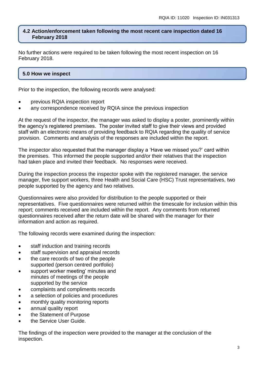## **4.2 Action/enforcement taken following the most recent care inspection dated 16 February 2018**

No further actions were required to be taken following the most recent inspection on 16 February 2018.

# **5.0 How we inspect**

Prior to the inspection, the following records were analysed:

- previous RQIA inspection report
- any correspondence received by RQIA since the previous inspection

At the request of the inspector, the manager was asked to display a poster, prominently within the agency's registered premises. The poster invited staff to give their views and provided staff with an electronic means of providing feedback to RQIA regarding the quality of service provision. Comments and analysis of the responses are included within the report.

The inspector also requested that the manager display a 'Have we missed you?' card within the premises. This informed the people supported and/or their relatives that the inspection had taken place and invited their feedback. No responses were received.

During the inspection process the inspector spoke with the registered manager, the service manager, five support workers, three Health and Social Care (HSC) Trust representatives, two people supported by the agency and two relatives.

Questionnaires were also provided for distribution to the people supported or their representatives. Five questionnaires were returned within the timescale for inclusion within this report; comments received are included within the report. Any comments from returned questionnaires received after the return date will be shared with the manager for their information and action as required.

The following records were examined during the inspection:

- staff induction and training records
- staff supervision and appraisal records
- the care records of two of the people supported (person centred portfolio)
- support worker meeting' minutes and minutes of meetings of the people supported by the service
- complaints and compliments records
- a selection of policies and procedures
- monthly quality monitoring reports
- annual quality report
- the Statement of Purpose
- the Service User Guide.

The findings of the inspection were provided to the manager at the conclusion of the inspection.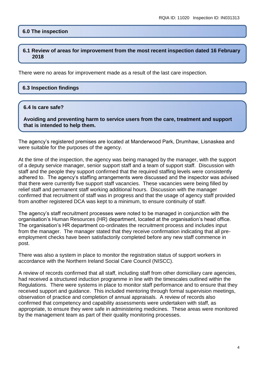## **6.0 The inspection**

#### **6.1 Review of areas for improvement from the most recent inspection dated 16 February 2018**

There were no areas for improvement made as a result of the last care inspection.

#### **6.3 Inspection findings**

#### **6.4 Is care safe?**

**Avoiding and preventing harm to service users from the care, treatment and support that is intended to help them.**

The agency's registered premises are located at Manderwood Park, Drumhaw, Lisnaskea and were suitable for the purposes of the agency.

At the time of the inspection, the agency was being managed by the manager, with the support of a deputy service manager, senior support staff and a team of support staff. Discussion with staff and the people they support confirmed that the required staffing levels were consistently adhered to. The agency's staffing arrangements were discussed and the inspector was advised that there were currently five support staff vacancies. These vacancies were being filled by relief staff and permanent staff working additional hours. Discussion with the manager confirmed that recruitment of staff was in progress and that the usage of agency staff provided from another registered DCA was kept to a minimum, to ensure continuity of staff.

The agency's staff recruitment processes were noted to be managed in conjunction with the organisation's Human Resources (HR) department, located at the organisation's head office. The organisation's HR department co-ordinates the recruitment process and includes input from the manager. The manager stated that they receive confirmation indicating that all preemployment checks have been satisfactorily completed before any new staff commence in post.

There was also a system in place to monitor the registration status of support workers in accordance with the Northern Ireland Social Care Council (NISCC).

A review of records confirmed that all staff, including staff from other domiciliary care agencies, had received a structured induction programme in line with the timescales outlined within the Regulations. There were systems in place to monitor staff performance and to ensure that they received support and guidance. This included mentoring through formal supervision meetings, observation of practice and completion of annual appraisals. A review of records also confirmed that competency and capability assessments were undertaken with staff, as appropriate, to ensure they were safe in administering medicines. These areas were monitored by the management team as part of their quality monitoring processes.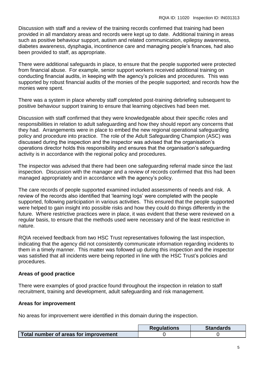Discussion with staff and a review of the training records confirmed that training had been provided in all mandatory areas and records were kept up to date. Additional training in areas such as positive behaviour support, autism and related communication, epilepsy awareness, diabetes awareness, dysphagia, incontinence care and managing people's finances, had also been provided to staff, as appropriate.

There were additional safeguards in place, to ensure that the people supported were protected from financial abuse. For example, senior support workers received additional training on conducting financial audits, in keeping with the agency's policies and procedures. This was supported by robust financial audits of the monies of the people supported; and records how the monies were spent.

There was a system in place whereby staff completed post-training debriefing subsequent to positive behaviour support training to ensure that learning objectives had been met.

Discussion with staff confirmed that they were knowledgeable about their specific roles and responsibilities in relation to adult safeguarding and how they should report any concerns that they had. Arrangements were in place to embed the new regional operational safeguarding policy and procedure into practice. The role of the Adult Safeguarding Champion (ASC) was discussed during the inspection and the inspector was advised that the organisation's operations director holds this responsibility and ensures that the organisation's safeguarding activity is in accordance with the regional policy and procedures.

The inspector was advised that there had been one safeguarding referral made since the last inspection. Discussion with the manager and a review of records confirmed that this had been managed appropriately and in accordance with the agency's policy.

The care records of people supported examined included assessments of needs and risk. A review of the records also identified that 'learning logs' were completed with the people supported, following participation in various activities. This ensured that the people supported were helped to gain insight into possible risks and how they could do things differently in the future. Where restrictive practices were in place, it was evident that these were reviewed on a regular basis, to ensure that the methods used were necessary and of the least restrictive in nature.

RQIA received feedback from two HSC Trust representatives following the last inspection, indicating that the agency did not consistently communicate information regarding incidents to them in a timely manner. This matter was followed up during this inspection and the inspector was satisfied that all incidents were being reported in line with the HSC Trust's policies and procedures.

# **Areas of good practice**

There were examples of good practice found throughout the inspection in relation to staff recruitment, training and development, adult safeguarding and risk management.

# **Areas for improvement**

No areas for improvement were identified in this domain during the inspection.

|                                       | <b>Regulations</b> | <b>Standards</b> |
|---------------------------------------|--------------------|------------------|
| Total number of areas for improvement |                    |                  |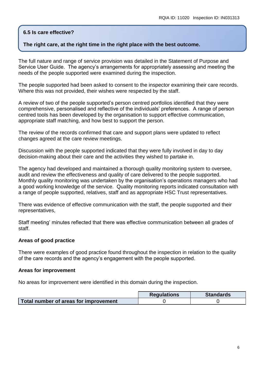# **6.5 Is care effective?**

## **The right care, at the right time in the right place with the best outcome.**

The full nature and range of service provision was detailed in the Statement of Purpose and Service User Guide. The agency's arrangements for appropriately assessing and meeting the needs of the people supported were examined during the inspection.

The people supported had been asked to consent to the inspector examining their care records. Where this was not provided, their wishes were respected by the staff.

A review of two of the people supported's person centred portfolios identified that they were comprehensive, personalised and reflective of the individuals' preferences. A range of person centred tools has been developed by the organisation to support effective communication, appropriate staff matching, and how best to support the person.

The review of the records confirmed that care and support plans were updated to reflect changes agreed at the care review meetings.

Discussion with the people supported indicated that they were fully involved in day to day decision-making about their care and the activities they wished to partake in.

The agency had developed and maintained a thorough quality monitoring system to oversee, audit and review the effectiveness and quality of care delivered to the people supported. Monthly quality monitoring was undertaken by the organisation's operations managers who had a good working knowledge of the service. Quality monitoring reports indicated consultation with a range of people supported, relatives, staff and as appropriate HSC Trust representatives.

There was evidence of effective communication with the staff, the people supported and their representatives,

Staff meeting' minutes reflected that there was effective communication between all grades of staff.

## **Areas of good practice**

There were examples of good practice found throughout the inspection in relation to the quality of the care records and the agency's engagement with the people supported.

#### **Areas for improvement**

No areas for improvement were identified in this domain during the inspection.

|                                       | <b>Regulations</b> | <b>Standards</b> |
|---------------------------------------|--------------------|------------------|
| Total number of areas for improvement |                    |                  |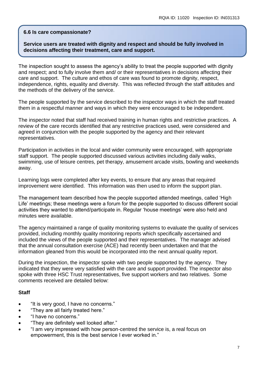## **6.6 Is care compassionate?**

## **Service users are treated with dignity and respect and should be fully involved in decisions affecting their treatment, care and support.**

The inspection sought to assess the agency's ability to treat the people supported with dignity and respect; and to fully involve them and/ or their representatives in decisions affecting their care and support. The culture and ethos of care was found to promote dignity, respect, independence, rights, equality and diversity. This was reflected through the staff attitudes and the methods of the delivery of the service.

The people supported by the service described to the inspector ways in which the staff treated them in a respectful manner and ways in which they were encouraged to be independent.

The inspector noted that staff had received training in human rights and restrictive practices. A review of the care records identified that any restrictive practices used, were considered and agreed in conjunction with the people supported by the agency and their relevant representatives.

Participation in activities in the local and wider community were encouraged, with appropriate staff support. The people supported discussed various activities including daily walks, swimming, use of leisure centres, pet therapy, amusement arcade visits, bowling and weekends away.

Learning logs were completed after key events, to ensure that any areas that required improvement were identified. This information was then used to inform the support plan.

The management team described how the people supported attended meetings, called 'High Life' meetings; these meetings were a forum for the people supported to discuss different social activities they wanted to attend/participate in. Regular 'house meetings' were also held and minutes were available.

The agency maintained a range of quality monitoring systems to evaluate the quality of services provided, including monthly quality monitoring reports which specifically ascertained and included the views of the people supported and their representatives. The manager advised that the annual consultation exercise (ACE) had recently been undertaken and that the information gleaned from this would be incorporated into the next annual quality report.

During the inspection, the inspector spoke with two people supported by the agency. They indicated that they were very satisfied with the care and support provided. The inspector also spoke with three HSC Trust representatives, five support workers and two relatives. Some comments received are detailed below:

# **Staff**

- "It is very good, I have no concerns."
- "They are all fairly treated here."
- "I have no concerns."
- "They are definitely well looked after."
- "I am very impressed with how person-centred the service is, a real focus on empowerment, this is the best service I ever worked in."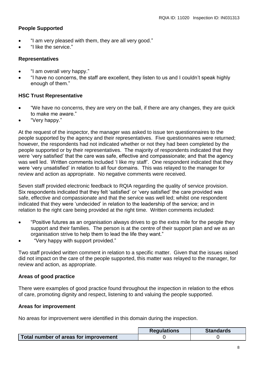# **People Supported**

- "I am very pleased with them, they are all very good."
- "I like the service."

## **Representatives**

- "I am overall very happy."
- "I have no concerns, the staff are excellent, they listen to us and I couldn't speak highly enough of them."

## **HSC Trust Representative**

- "We have no concerns, they are very on the ball, if there are any changes, they are quick to make me aware."
- "Very happy."

At the request of the inspector, the manager was asked to issue ten questionnaires to the people supported by the agency and their representatives. Five questionnaires were returned; however, the respondents had not indicated whether or not they had been completed by the people supported or by their representatives. The majority of respondents indicated that they were 'very satisfied' that the care was safe, effective and compassionate; and that the agency was well led. Written comments included 'I like my staff'. One respondent indicated that they were 'very unsatisfied' in relation to all four domains. This was relayed to the manager for review and action as appropriate. No negative comments were received.

Seven staff provided electronic feedback to RQIA regarding the quality of service provision. Six respondents indicated that they felt 'satisfied' or 'very satisfied' the care provided was safe, effective and compassionate and that the service was well led; whilst one respondent indicated that they were 'undecided' in relation to the leadership of the service; and in relation to the right care being provided at the right time. Written comments included:

- "Positive futures as an organisation always drives to go the extra mile for the people they support and their families. The person is at the centre of their support plan and we as an organisation strive to help them to lead the life they want."
- "Very happy with support provided."

Two staff provided written comment in relation to a specific matter. Given that the issues raised did not impact on the care of the people supported, this matter was relayed to the manager, for review and action, as appropriate.

# **Areas of good practice**

There were examples of good practice found throughout the inspection in relation to the ethos of care, promoting dignity and respect, listening to and valuing the people supported.

## **Areas for improvement**

No areas for improvement were identified in this domain during the inspection.

|                                       | <b>Requlations</b> | <b>Standards</b> |
|---------------------------------------|--------------------|------------------|
| Total number of areas for improvement |                    |                  |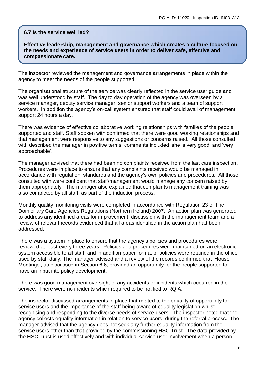#### **6.7 Is the service well led?**

**Effective leadership, management and governance which creates a culture focused on the needs and experience of service users in order to deliver safe, effective and compassionate care.**

The inspector reviewed the management and governance arrangements in place within the agency to meet the needs of the people supported.

The organisational structure of the service was clearly reflected in the service user guide and was well understood by staff. The day to day operation of the agency was overseen by a service manager, deputy service manager, senior support workers and a team of support workers. In addition the agency's on-call system ensured that staff could avail of management support 24 hours a day.

There was evidence of effective collaborative working relationships with families of the people supported and staff. Staff spoken with confirmed that there were good working relationships and that management were responsive to any suggestions or concerns raised. All those consulted with described the manager in positive terms; comments included 'she is very good' and 'very approachable'.

The manager advised that there had been no complaints received from the last care inspection. Procedures were in place to ensure that any complaints received would be managed in accordance with regulation, standards and the agency's own policies and procedures. All those consulted with were confident that staff/management would manage any concern raised by them appropriately. The manager also explained that complaints management training was also completed by all staff, as part of the induction process.

Monthly quality monitoring visits were completed in accordance with Regulation 23 of The Domiciliary Care Agencies Regulations (Northern Ireland) 2007. An action plan was generated to address any identified areas for improvement; discussion with the management team and a review of relevant records evidenced that all areas identified in the action plan had been addressed.

There was a system in place to ensure that the agency's policies and procedures were reviewed at least every three years. Policies and procedures were maintained on an electronic system accessible to all staff, and in addition paper format pf policies were retained in the office used by staff daily. The manager advised and a review of the records confirmed that 'House Meetings', as discussed in Section 6.6, provided an opportunity for the people supported to have an input into policy development.

There was good management oversight of any accidents or incidents which occurred in the service. There were no incidents which required to be notified to RQIA.

The inspector discussed arrangements in place that related to the equality of opportunity for service users and the importance of the staff being aware of equality legislation whilst recognising and responding to the diverse needs of service users. The inspector noted that the agency collects equality information in relation to service users, during the referral process. The manager advised that the agency does not seek any further equality information from the service users other than that provided by the commissioning HSC Trust. The data provided by the HSC Trust is used effectively and with individual service user involvement when a person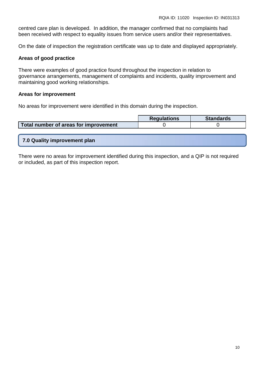centred care plan is developed. In addition, the manager confirmed that no complaints had been received with respect to equality issues from service users and/or their representatives.

On the date of inspection the registration certificate was up to date and displayed appropriately.

#### **Areas of good practice**

There were examples of good practice found throughout the inspection in relation to governance arrangements, management of complaints and incidents, quality improvement and maintaining good working relationships.

#### **Areas for improvement**

No areas for improvement were identified in this domain during the inspection.

|                                       | <b>Requlations</b> | <b>Standards</b> |
|---------------------------------------|--------------------|------------------|
| Total number of areas for improvement |                    |                  |

**7.0 Quality improvement plan**

There were no areas for improvement identified during this inspection, and a QIP is not required or included, as part of this inspection report.